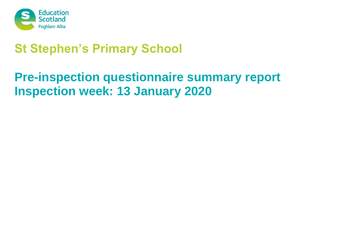

# **St Stephen's Primary School**

# **Pre-inspection questionnaire summary report Inspection week: 13 January 2020**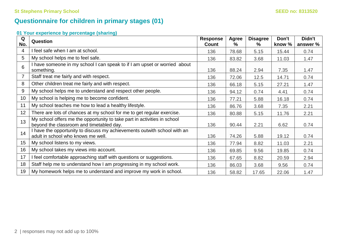# **Questionnaire for children in primary stages (01)**

| Q<br>No.         | <b>Question</b>                                                                                                      | <b>Response</b><br>Count | Agree<br>$\frac{0}{0}$ | <b>Disagree</b><br>℅ | Don't<br>know % | Didn't<br>answer % |
|------------------|----------------------------------------------------------------------------------------------------------------------|--------------------------|------------------------|----------------------|-----------------|--------------------|
| $\overline{4}$   | I feel safe when I am at school.                                                                                     | 136                      | 78.68                  | 5.15                 | 15.44           | 0.74               |
| 5                | My school helps me to feel safe.                                                                                     | 136                      | 83.82                  | 3.68                 | 11.03           | 1.47               |
| 6                | I have someone in my school I can speak to if I am upset or worried about<br>something.                              | 136                      | 88.24                  | 2.94                 | 7.35            | 1.47               |
| $\overline{7}$   | Staff treat me fairly and with respect.                                                                              | 136                      | 72.06                  | 12.5                 | 14.71           | 0.74               |
| 8                | Other children treat me fairly and with respect.                                                                     | 136                      | 66.18                  | 5.15                 | 27.21           | 1.47               |
| 9                | My school helps me to understand and respect other people.                                                           | 136                      | 94.12                  | 0.74                 | 4.41            | 0.74               |
| 10               | My school is helping me to become confident.                                                                         | 136                      | 77.21                  | 5.88                 | 16.18           | 0.74               |
| 11               | My school teaches me how to lead a healthy lifestyle.                                                                | 136                      | 86.76                  | 3.68                 | 7.35            | 2.21               |
| 12               | There are lots of chances at my school for me to get regular exercise.                                               | 136                      | 80.88                  | 5.15                 | 11.76           | 2.21               |
| 13               | My school offers me the opportunity to take part in activities in school<br>beyond the classroom and timetabled day. | 136                      | 90.44                  | 2.21                 | 6.62            | 0.74               |
| 14               | I have the opportunity to discuss my achievements outwith school with an<br>adult in school who knows me well.       | 136                      | 74.26                  | 5.88                 | 19.12           | 0.74               |
| 15 <sub>15</sub> | My school listens to my views.                                                                                       | 136                      | 77.94                  | 8.82                 | 11.03           | 2.21               |
| 16               | My school takes my views into account.                                                                               | 136                      | 69.85                  | 9.56                 | 19.85           | 0.74               |
| 17               | I feel comfortable approaching staff with questions or suggestions.                                                  | 136                      | 67.65                  | 8.82                 | 20.59           | 2.94               |
| 18               | Staff help me to understand how I am progressing in my school work.                                                  | 136                      | 86.03                  | 3.68                 | 9.56            | 0.74               |
| 19               | My homework helps me to understand and improve my work in school.                                                    | 136                      | 58.82                  | 17.65                | 22.06           | 1.47               |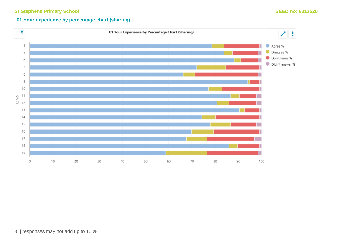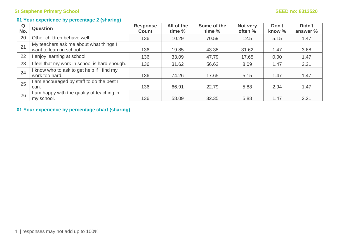#### **01 Your experience by percentage 2 (sharing)**

| Q<br>No. | <b>Question</b>                                                    | <b>Response</b><br><b>Count</b> | All of the<br>time % | Some of the<br>time % | Not very<br>often % | Don't<br>know % | Didn't<br>answer % |
|----------|--------------------------------------------------------------------|---------------------------------|----------------------|-----------------------|---------------------|-----------------|--------------------|
| 20       | Other children behave well.                                        | 136                             | 10.29                | 70.59                 | 12.5                | 5.15            | 1.47               |
| 21       | My teachers ask me about what things I<br>want to learn in school. | 136                             | 19.85                | 43.38                 | 31.62               | 1.47            | 3.68               |
| 22       | enjoy learning at school.                                          | 136                             | 33.09                | 47.79                 | 17.65               | 0.00            | 1.47               |
| 23       | feel that my work in school is hard enough.                        | 136                             | 31.62                | 56.62                 | 8.09                | 1.47            | 2.21               |
| 24       | know who to ask to get help if I find my<br>work too hard.         | 136                             | 74.26                | 17.65                 | 5.15                | 1.47            | 1.47               |
| 25       | am encouraged by staff to do the best I<br>can.                    | 136                             | 66.91                | 22.79                 | 5.88                | 2.94            | 1.47               |
| 26       | am happy with the quality of teaching in<br>my school.             | 136                             | 58.09                | 32.35                 | 5.88                | 1.47            | 2.21               |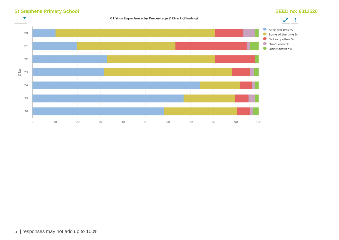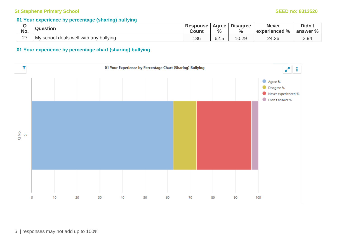#### **01 Your experience by percentage (sharing) bullying**

| No.                         | <b>Question</b>                                | <b>Response</b><br><b>Count</b> | Agree<br>$\frac{0}{0}$ | <b>Disagree</b><br>$\frac{0}{0}$ | <b>Never</b><br>experienced % | Didn't<br>answer % |
|-----------------------------|------------------------------------------------|---------------------------------|------------------------|----------------------------------|-------------------------------|--------------------|
| $\sim$ $\rightarrow$<br>- 1 | ' school deals well with any bullying.<br>uVIV | 136                             | 62.5                   | 0.29                             | 24.26                         | 2.94               |

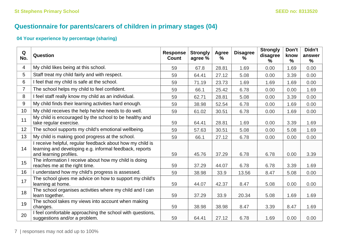# **Questionnaire for parents/carers of children in primary stages (04)**

| Q<br>No.       | Question                                                                                                                                       | <b>Response</b><br><b>Count</b> | <b>Strongly</b><br>agree % | <b>Agree</b><br>$\frac{9}{6}$ | <b>Disagree</b><br>% | <b>Strongly</b><br>disagree<br>% | Don't<br>know<br>% | Didn't<br>answer<br>$\%$ |
|----------------|------------------------------------------------------------------------------------------------------------------------------------------------|---------------------------------|----------------------------|-------------------------------|----------------------|----------------------------------|--------------------|--------------------------|
| $\overline{4}$ | My child likes being at this school.                                                                                                           | 59                              | 67.8                       | 28.81                         | 1.69                 | 0.00                             | 1.69               | 0.00                     |
| 5              | Staff treat my child fairly and with respect.                                                                                                  | 59                              | 64.41                      | 27.12                         | 5.08                 | 0.00                             | 3.39               | 0.00                     |
| 6              | I feel that my child is safe at the school.                                                                                                    | 59                              | 71.19                      | 23.73                         | 1.69                 | 1.69                             | 1.69               | 0.00                     |
| $\overline{7}$ | The school helps my child to feel confident.                                                                                                   | 59                              | 66.1                       | 25.42                         | 6.78                 | 0.00                             | 0.00               | 1.69                     |
| 8              | I feel staff really know my child as an individual.                                                                                            | 59                              | 62.71                      | 28.81                         | 5.08                 | 0.00                             | 3.39               | 0.00                     |
| 9              | My child finds their learning activities hard enough.                                                                                          | 59                              | 38.98                      | 52.54                         | 6.78                 | 0.00                             | 1.69               | 0.00                     |
| 10             | My child receives the help he/she needs to do well.                                                                                            | 59                              | 61.02                      | 30.51                         | 6.78                 | 0.00                             | 1.69               | 0.00                     |
| 11             | My child is encouraged by the school to be healthy and<br>take regular exercise.                                                               | 59                              | 64.41                      | 28.81                         | 1.69                 | 0.00                             | 3.39               | 1.69                     |
| 12             | The school supports my child's emotional wellbeing.                                                                                            | 59                              | 57.63                      | 30.51                         | 5.08                 | 0.00                             | 5.08               | 1.69                     |
| 13             | My child is making good progress at the school.                                                                                                | 59                              | 66.1                       | 27.12                         | 6.78                 | 0.00                             | 0.00               | 0.00                     |
| 14             | I receive helpful, regular feedback about how my child is<br>learning and developing e.g. informal feedback, reports<br>and learning profiles. | 59                              | 45.76                      | 37.29                         | 6.78                 | 6.78                             | 0.00               | 3.39                     |
| 15             | The information I receive about how my child is doing<br>reaches me at the right time.                                                         | 59                              | 37.29                      | 44.07                         | 6.78                 | 6.78                             | 3.39               | 1.69                     |
| 16             | I understand how my child's progress is assessed.                                                                                              | 59                              | 38.98                      | 33.9                          | 13.56                | 8.47                             | 5.08               | 0.00                     |
| 17             | The school gives me advice on how to support my child's<br>learning at home.                                                                   | 59                              | 44.07                      | 42.37                         | 8.47                 | 5.08                             | 0.00               | 0.00                     |
| 18             | The school organises activities where my child and I can<br>learn together.                                                                    | 59                              | 37.29                      | 33.9                          | 20.34                | 5.08                             | 1.69               | 1.69                     |
| 19             | The school takes my views into account when making<br>changes.                                                                                 | 59                              | 38.98                      | 38.98                         | 8.47                 | 3.39                             | 8.47               | 1.69                     |
| 20             | I feel comfortable approaching the school with questions,<br>suggestions and/or a problem.                                                     | 59                              | 64.41                      | 27.12                         | 6.78                 | 1.69                             | 0.00               | 0.00                     |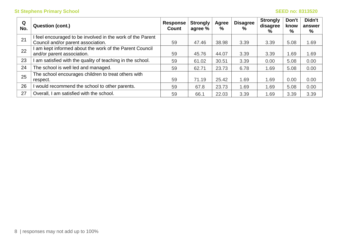| Q<br>No. | <b>Question (cont.)</b>                                    | Response<br>Count | <b>Strongly</b><br>agree % | Agree<br>% | <b>Disagree</b><br>$\%$ | <b>Strongly</b><br>disagree<br>% | Don't<br>know<br>% | Didn't<br>answer<br>% |
|----------|------------------------------------------------------------|-------------------|----------------------------|------------|-------------------------|----------------------------------|--------------------|-----------------------|
| 21       | I feel encouraged to be involved in the work of the Parent |                   |                            |            |                         |                                  |                    |                       |
|          | Council and/or parent association.                         | 59                | 47.46                      | 38.98      | 3.39                    | 3.39                             | 5.08               | 1.69                  |
| 22       | am kept informed about the work of the Parent Council      |                   |                            |            |                         |                                  |                    |                       |
|          | and/or parent association.                                 | 59                | 45.76                      | 44.07      | 3.39                    | 3.39                             | 1.69               | 1.69                  |
| 23       | am satisfied with the quality of teaching in the school.   | 59                | 61.02                      | 30.51      | 3.39                    | 0.00                             | 5.08               | 0.00                  |
| 24       | The school is well led and managed.                        | 59                | 62.71                      | 23.73      | 6.78                    | 1.69                             | 5.08               | 0.00                  |
| 25       | The school encourages children to treat others with        |                   |                            |            |                         |                                  |                    |                       |
|          | respect.                                                   | 59                | 71.19                      | 25.42      | 1.69                    | 1.69                             | 0.00               | 0.00                  |
| 26       | I would recommend the school to other parents.             | 59                | 67.8                       | 23.73      | 1.69                    | 1.69                             | 5.08               | 0.00                  |
| 27       | Overall, I am satisfied with the school.                   | 59                | 66.1                       | 22.03      | 3.39                    | 1.69                             | 3.39               | 3.39                  |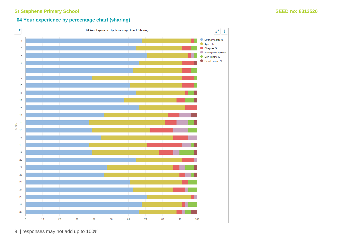#### **04 Your experience by percentage chart (sharing)**



9 | responses may not add up to 100%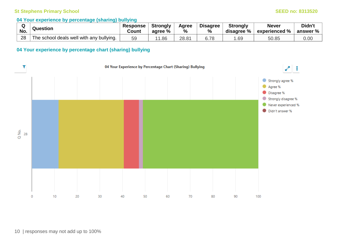#### **04 Your experience by percentage (sharing) bullying**

| No. | Question                                 | <b>Response</b><br>Count | <b>Strongly</b><br>agree % | Agree<br>% | <b>Disagree</b><br>$\%$ | <b>Strongly</b><br>disagree % | <b>Never</b><br>experienced % | Didn't<br>answer % |
|-----|------------------------------------------|--------------------------|----------------------------|------------|-------------------------|-------------------------------|-------------------------------|--------------------|
| 28  | The school deals well with any bullying. | 59                       | .86                        | 28.81      | .78                     | .69                           | 50.85                         | 0.00               |

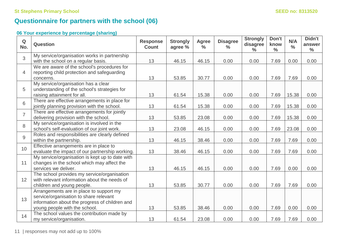# **Questionnaire for partners with the school (06)**

| $\mathbf Q$<br>No. | <b>Question</b>                                                                           | <b>Response</b><br><b>Count</b> | <b>Strongly</b><br>agree % | <b>Agree</b><br>$\frac{0}{0}$ | <b>Disagree</b><br>$\frac{0}{0}$ | <b>Strongly</b><br>disagree<br>$\%$ | Don't<br>know<br>$\frac{0}{0}$ | N/A<br>$\frac{0}{0}$ | Didn't<br>answer<br>$\frac{0}{0}$ |
|--------------------|-------------------------------------------------------------------------------------------|---------------------------------|----------------------------|-------------------------------|----------------------------------|-------------------------------------|--------------------------------|----------------------|-----------------------------------|
| 3                  | My service/organisation works in partnership                                              |                                 |                            |                               |                                  |                                     |                                |                      |                                   |
|                    | with the school on a regular basis.                                                       | 13                              | 46.15                      | 46.15                         | 0.00                             | 0.00                                | 7.69                           | 0.00                 | 0.00                              |
|                    | We are aware of the school's procedures for                                               |                                 |                            |                               |                                  |                                     |                                |                      |                                   |
| $\overline{4}$     | reporting child protection and safeguarding                                               |                                 |                            |                               |                                  |                                     |                                |                      |                                   |
|                    | concerns.                                                                                 | 13                              | 53.85                      | 30.77                         | 0.00                             | 0.00                                | 7.69                           | 7.69                 | 0.00                              |
|                    | My service/organisation has a clear                                                       |                                 |                            |                               |                                  |                                     |                                |                      |                                   |
| 5                  | understanding of the school's strategies for                                              |                                 |                            |                               |                                  |                                     |                                |                      |                                   |
|                    | raising attainment for all.                                                               | 13                              | 61.54                      | 15.38                         | 0.00                             | 0.00                                | 7.69                           | 15.38                | 0.00                              |
| 6                  | There are effective arrangements in place for                                             |                                 |                            |                               |                                  |                                     |                                |                      |                                   |
|                    | jointly planning provision with the school.                                               | 13                              | 61.54                      | 15.38                         | 0.00                             | 0.00                                | 7.69                           | 15.38                | 0.00                              |
| $\overline{7}$     | There are effective arrangements for jointly                                              |                                 |                            |                               |                                  |                                     |                                |                      |                                   |
|                    | delivering provision with the school.                                                     | 13                              | 53.85                      | 23.08                         | 0.00                             | 0.00                                | 7.69                           | 15.38                | 0.00                              |
| 8                  | My service/organisation is involved in the                                                | 13                              |                            |                               |                                  |                                     | 7.69                           | 23.08                | 0.00                              |
|                    | school's self-evaluation of our joint work.                                               |                                 | 23.08                      | 46.15                         | 0.00                             | 0.00                                |                                |                      |                                   |
| 9                  | Roles and responsibilities are clearly defined<br>within the partnership.                 | 13                              | 46.15                      | 38.46                         | 0.00                             | 0.00                                | 7.69                           | 7.69                 | 0.00                              |
|                    |                                                                                           |                                 |                            |                               |                                  |                                     |                                |                      |                                   |
| 10                 | Effective arrangements are in place to<br>evaluate the impact of our partnership working. | 13                              | 38.46                      | 46.15                         | 0.00                             | 0.00                                | 7.69                           | 7.69                 | 0.00                              |
|                    | My service/organisation is kept up to date with                                           |                                 |                            |                               |                                  |                                     |                                |                      |                                   |
| 11                 | changes in the school which may affect the                                                |                                 |                            |                               |                                  |                                     |                                |                      |                                   |
|                    | services we deliver.                                                                      | 13                              | 46.15                      | 46.15                         | 0.00                             | 0.00                                | 7.69                           | 0.00                 | 0.00                              |
|                    | The school provides my service/organisation                                               |                                 |                            |                               |                                  |                                     |                                |                      |                                   |
| 12                 | with relevant information about the needs of                                              |                                 |                            |                               |                                  |                                     |                                |                      |                                   |
|                    | children and young people.                                                                | 13                              | 53.85                      | 30.77                         | 0.00                             | 0.00                                | 7.69                           | 7.69                 | 0.00                              |
|                    | Arrangements are in place to support my                                                   |                                 |                            |                               |                                  |                                     |                                |                      |                                   |
|                    | service/organisation to share relevant                                                    |                                 |                            |                               |                                  |                                     |                                |                      |                                   |
| 13                 | information about the progress of children and                                            |                                 |                            |                               |                                  |                                     |                                |                      |                                   |
|                    | young people with the school.                                                             | 13                              | 53.85                      | 38.46                         | 0.00                             | 0.00                                | 7.69                           | 0.00                 | 0.00                              |
|                    | The school values the contribution made by                                                |                                 |                            |                               |                                  |                                     |                                |                      |                                   |
| 14                 | my service/organisation.                                                                  | 13                              | 61.54                      | 23.08                         | 0.00                             | 0.00                                | 7.69                           | 7.69                 | 0.00                              |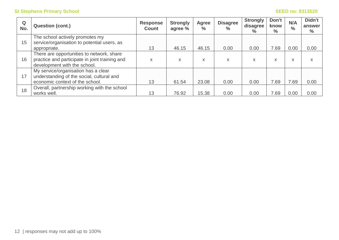| Q<br>No. | <b>Question (cont.)</b>                                                                                                     | <b>Response</b><br><b>Count</b> | <b>Strongly</b><br>agree % | <b>Agree</b><br>$\%$ | <b>Disagree</b><br>$\frac{0}{0}$ | <b>Strongly</b><br>disagree<br>$\%$ | Don't<br>know<br>$\%$ | N/A<br>$\frac{0}{0}$ | Didn't<br>answer<br>$\%$ |
|----------|-----------------------------------------------------------------------------------------------------------------------------|---------------------------------|----------------------------|----------------------|----------------------------------|-------------------------------------|-----------------------|----------------------|--------------------------|
| 15       | The school actively promotes my<br>service/organisation to potential users, as<br>appropriate.                              | 13                              | 46.15                      | 46.15                | 0.00                             | 0.00                                | 7.69                  | 0.00                 | 0.00                     |
| 16       | There are opportunities to network, share<br>practice and participate in joint training and<br>development with the school. | x                               | X                          | X                    | X                                | x                                   | X                     | X                    | X                        |
| 17       | My service/organisation has a clear<br>understanding of the social, cultural and<br>economic context of the school.         | 13                              | 61.54                      | 23.08                | 0.00                             | 0.00                                | 7.69                  | 7.69                 | 0.00                     |
| 18       | Overall, partnership working with the school<br>works well.                                                                 | 13                              | 76.92                      | 15.38                | 0.00                             | 0.00                                | 7.69                  | 0.00                 | 0.00                     |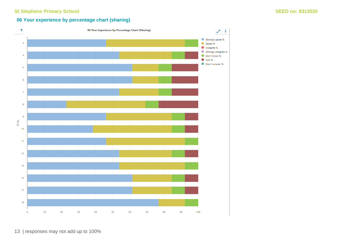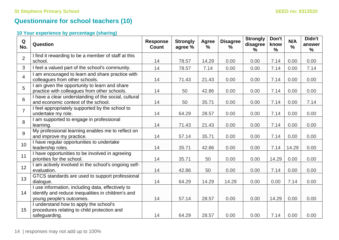# **Questionnaire for school teachers (10)**

| Q<br>No.       | Question                                                                                                                            | <b>Response</b><br><b>Count</b> | <b>Strongly</b><br>agree % | <b>Agree</b><br>$\%$ | <b>Disagree</b><br>% | <b>Strongly</b><br>disagree<br>% | Don't<br>know<br>$\%$ | N/A<br>$\frac{9}{6}$ | Didn't<br>answer<br>$\frac{0}{0}$ |
|----------------|-------------------------------------------------------------------------------------------------------------------------------------|---------------------------------|----------------------------|----------------------|----------------------|----------------------------------|-----------------------|----------------------|-----------------------------------|
| $\overline{2}$ | I find it rewarding to be a member of staff at this<br>school.                                                                      | 14                              | 78.57                      | 14.29                | 0.00                 | 0.00                             | 7.14                  | 0.00                 | 0.00                              |
| 3              | I feel a valued part of the school's community.                                                                                     | 14                              | 78.57                      | 7.14                 | 0.00                 | 0.00                             | 7.14                  | 0.00                 | 7.14                              |
| $\overline{4}$ | I am encouraged to learn and share practice with<br>colleagues from other schools.                                                  | 14                              | 71.43                      | 21.43                | 0.00                 | 0.00                             | 7.14                  | 0.00                 | 0.00                              |
| 5              | I am given the opportunity to learn and share<br>practice with colleagues from other schools.                                       | 14                              | 50                         | 42.86                | 0.00                 | 0.00                             | 7.14                  | 0.00                 | 0.00                              |
| 6              | I have a clear understanding of the social, cultural<br>and economic context of the school.                                         | 14                              | 50                         | 35.71                | 0.00                 | 0.00                             | 7.14                  | 0.00                 | 7.14                              |
| $\overline{7}$ | I feel appropriately supported by the school to<br>undertake my role.                                                               | 14                              | 64.29                      | 28.57                | 0.00                 | 0.00                             | 7.14                  | 0.00                 | 0.00                              |
| 8              | I am supported to engage in professional<br>learning.                                                                               | 14                              | 71.43                      | 21.43                | 0.00                 | 0.00                             | 7.14                  | 0.00                 | 0.00                              |
| 9              | My professional learning enables me to reflect on<br>and improve my practice.                                                       | 14                              | 57.14                      | 35.71                | 0.00                 | 0.00                             | 7.14                  | 0.00                 | 0.00                              |
| 10             | I have regular opportunities to undertake<br>leadership roles.                                                                      | 14                              | 35.71                      | 42.86                | 0.00                 | 0.00                             | 7.14                  | 14.29                | 0.00                              |
| 11             | I have opportunities to be involved in agreeing<br>priorities for the school.                                                       | 14                              | 35.71                      | 50                   | 0.00                 | 0.00                             | 14.29                 | 0.00                 | 0.00                              |
| 12             | I am actively involved in the school's ongoing self-<br>evaluation.                                                                 | 14                              | 42.86                      | 50                   | 0.00                 | 0.00                             | 7.14                  | 0.00                 | 0.00                              |
| 13             | GTCS standards are used to support professional<br>dialogue.                                                                        | 14                              | 64.29                      | 14.29                | 14.29                | 0.00                             | 0.00                  | 7.14                 | 0.00                              |
| 14             | I use information, including data, effectively to<br>identify and reduce inequalities in children's and<br>young people's outcomes. | 14                              | 57.14                      | 28.57                | 0.00                 | 0.00                             | 14.29                 | 0.00                 | 0.00                              |
| 15             | I understand how to apply the school's<br>procedures relating to child protection and<br>safeguarding.                              | 14                              | 64.29                      | 28.57                | 0.00                 | 0.00                             | 7.14                  | 0.00                 | 0.00                              |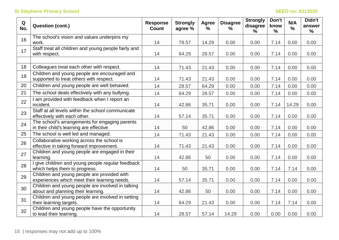| Q<br>No. | <b>Question (cont.)</b>                                                                     | <b>Response</b><br><b>Count</b> | <b>Strongly</b><br>agree % | Agree<br>$\frac{9}{6}$ | <b>Disagree</b><br>% | <b>Strongly</b><br>disagree<br>% | Don't<br>know<br>$\frac{0}{0}$ | N/A<br>$\frac{0}{0}$ | Didn't<br>answer<br>$\frac{0}{0}$ |
|----------|---------------------------------------------------------------------------------------------|---------------------------------|----------------------------|------------------------|----------------------|----------------------------------|--------------------------------|----------------------|-----------------------------------|
| 16       | The school's vision and values underpins my<br>work.                                        | 14                              | 78.57                      | 14.29                  | 0.00                 | 0.00                             | 7.14                           | 0.00                 | 0.00                              |
| 17       | Staff treat all children and young people fairly and<br>with respect.                       | 14                              | 64.29                      | 28.57                  | 0.00                 | 0.00                             | 7.14                           | 0.00                 | 0.00                              |
|          |                                                                                             |                                 |                            |                        |                      |                                  |                                |                      |                                   |
| 18       | Colleagues treat each other with respect.                                                   | 14                              | 71.43                      | 21.43                  | 0.00                 | 0.00                             | 7.14                           | 0.00                 | 0.00                              |
| 19       | Children and young people are encouraged and<br>supported to treat others with respect.     | 14                              | 71.43                      | 21.43                  | 0.00                 | 0.00                             | 7.14                           | 0.00                 | 0.00                              |
| 20       | Children and young people are well behaved.                                                 | 14                              | 28.57                      | 64.29                  | 0.00                 | 0.00                             | 7.14                           | 0.00                 | 0.00                              |
| 21       | The school deals effectively with any bullying.                                             | 14                              | 64.29                      | 28.57                  | 0.00                 | 0.00                             | 7.14                           | 0.00                 | 0.00                              |
| 22       | I am provided with feedback when I report an<br>incident.                                   | 14                              | 42.86                      | 35.71                  | 0.00                 | 0.00                             | 7.14                           | 14.29                | 0.00                              |
| 23       | Staff at all levels within the school communicate<br>effectively with each other.           | 14                              | 57.14                      | 35.71                  | 0.00                 | 0.00                             | 7.14                           | 0.00                 | 0.00                              |
| 24       | The school's arrangements for engaging parents<br>in their child's learning are effective.  | 14                              | 50                         | 42.86                  | 0.00                 | 0.00                             | 7.14                           | 0.00                 | 0.00                              |
| 25       | The school is well led and managed.                                                         | 14                              | 71.43                      | 21.43                  | 0.00                 | 0.00                             | 7.14                           | 0.00                 | 0.00                              |
| 26       | Collaborative working across the school is<br>effective in taking forward improvement.      | 14                              | 71.43                      | 21.43                  | 0.00                 | 0.00                             | 7.14                           | 0.00                 | 0.00                              |
| 27       | Children and young people are engaged in their<br>learning.                                 | 14                              | 42.86                      | 50                     | 0.00                 | 0.00                             | 7.14                           | 0.00                 | 0.00                              |
| 28       | I give children and young people regular feedback<br>which helps them to progress.          | 14                              | 50                         | 35.71                  | 0.00                 | 0.00                             | 7.14                           | 7.14                 | 0.00                              |
| 29       | Children and young people are provided with<br>experiences which meet their learning needs. | 14                              | 57.14                      | 35.71                  | 0.00                 | 0.00                             | 7.14                           | 0.00                 | 0.00                              |
| 30       | Children and young people are involved in talking<br>about and planning their learning.     | 14                              | 42.86                      | 50                     | 0.00                 | 0.00                             | 7.14                           | 0.00                 | 0.00                              |
| 31       | Children and young people are involved in setting<br>their learning targets.                | 14                              | 64.29                      | 21.43                  | 0.00                 | 0.00                             | 7.14                           | 7.14                 | 0.00                              |
| 32       | Children and young people have the opportunity<br>to lead their learning.                   | 14                              | 28.57                      | 57.14                  | 14.29                | 0.00                             | 0.00                           | 0.00                 | 0.00                              |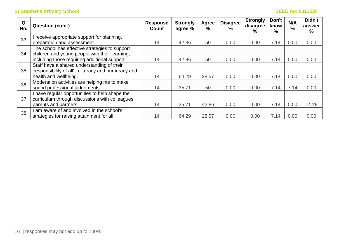| Q<br>No. | <b>Question (cont.)</b>                              | <b>Response</b><br>Count | <b>Strongly</b><br>agree % | Agree<br>% | <b>Disagree</b><br>$\%$ | <b>Strongly</b><br>disagree<br>$\%$ | Don't<br>know<br>$\%$ | N/A<br>$\frac{6}{6}$ | Didn't<br>answer<br>$\frac{9}{6}$ |
|----------|------------------------------------------------------|--------------------------|----------------------------|------------|-------------------------|-------------------------------------|-----------------------|----------------------|-----------------------------------|
| 33       | receive appropriate support for planning,            |                          |                            |            |                         |                                     |                       |                      |                                   |
|          | preparation and assessment.                          | 14                       | 42.86                      | 50         | 0.00                    | 0.00                                | 7.14                  | 0.00                 | 0.00                              |
|          | The school has effective strategies to support       |                          |                            |            |                         |                                     |                       |                      |                                   |
| 34       | children and young people with their learning,       |                          |                            |            |                         |                                     |                       |                      |                                   |
|          | including those requiring additional support.        | 14                       | 42.86                      | 50         | 0.00                    | 0.00                                | 7.14                  | 0.00                 | 0.00                              |
|          | Staff have a shared understanding of their           |                          |                            |            |                         |                                     |                       |                      |                                   |
| 35       | 'responsibility of all' in literacy and numeracy and |                          |                            |            |                         |                                     |                       |                      |                                   |
|          | health and wellbeing.                                | 14                       | 64.29                      | 28.57      | 0.00                    | 0.00                                | 7.14                  | 0.00                 | 0.00                              |
| 36       | Moderation activities are helping me to make         |                          |                            |            |                         |                                     |                       |                      |                                   |
|          | sound professional judgements.                       | 14                       | 35.71                      | 50         | 0.00                    | 0.00                                | 7.14                  | 7.14                 | 0.00                              |
|          | I have regular opportunities to help shape the       |                          |                            |            |                         |                                     |                       |                      |                                   |
| 37       | curriculum through discussions with colleagues,      |                          |                            |            |                         |                                     |                       |                      |                                   |
|          | parents and partners.                                | 14                       | 35.71                      | 42.86      | 0.00                    | 0.00                                | 7.14                  | 0.00                 | 14.29                             |
| 38       | am aware of and involved in the school's             |                          |                            |            |                         |                                     |                       |                      |                                   |
|          | strategies for raising attainment for all.           | 14                       | 64.29                      | 28.57      | 0.00                    | 0.00                                | 7.14                  | 0.00                 | 0.00                              |